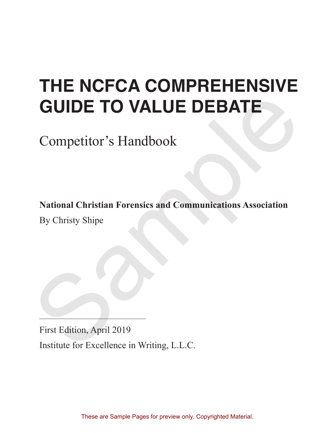# **THE NCFCA COMPREHENSIVE GUIDE TO VALUE DEBATE GUIDE TO VALUE DEBATE**<br>
Competitor's Handbook<br>
National Christian Forensics and Communications Association<br>
By Christy Shipe<br>
First Edition, April 2019<br>
Institute for Excellence in Writing, L.L.C.<br>
These are Sample Pages

Competitor's Handbook

**National Christian Forensics and Communications Association**

By Christy Shipe

First Edition, April 2019 Institute for Excellence in Writing, L.L.C.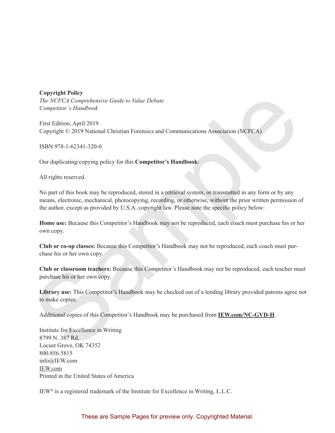### **Copyright Policy**

*The NCFCA Comprehensive Guide to Value Debate Competitor's Handbook*

First Edition, April 2019 Copyright © 2019 National Christian Forensics and Communications Association (NCFCA)

ISBN 978-1-62341-320-0

Our duplicating/copying policy for this **Competitor's Handbook**:

All rights reserved.

No part of this book may be reproduced, stored in a retrieval system, or transmitted in any form or by any means, electronic, mechanical, photocopying, recording, or otherwise, without the prior written permission of the author, except as provided by U.S.A. copyright law. Please note the specific policy below: Copyright That <br>
The NCPCA (Comprehensive Grade to Faidat Debate<br>
Compassion's Nondbook<br>
Compassion (NCTCA)<br>
Copyright to 2019 National Christian Forensies and Communications Association (NCTCA)<br>
ISBN 978-1-62341-320-0<br>
Ou

**Home use:** Because this Competitor's Handbook may not be reproduced, each coach must purchase his or her own copy.

**Club or co-op classes:** Because this Competitor's Handbook may not be reproduced, each coach must purchase his or her own copy.

**Club or classroom teachers:** Because this Competitor's Handbook may not be reproduced, each teacher must purchase his or her own copy.

**Library use:** This Competitor's Handbook may be checked out of a lending library provided patrons agree not to make copies.

Additional copies of this Competitor's Handbook may be purchased from **IEW.com/NC-GVD-H**.

Institute for Excellence in Writing 8799 N. 387 Rd. Locust Grove, OK 74352 800.856.5815 info@IEW.com IEW.com Printed in the United States of America

IEW® is a registered trademark of the Institute for Excellence in Writing, L.L.C.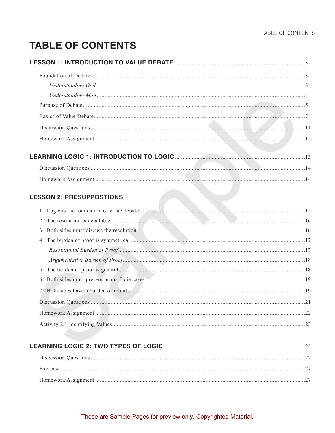| <b>LESSON 2: PRESUPPOSTIONS</b> |  |
|---------------------------------|--|
|                                 |  |
|                                 |  |
|                                 |  |
|                                 |  |
|                                 |  |
|                                 |  |
|                                 |  |
|                                 |  |
|                                 |  |
| Discussion Questions 21         |  |
|                                 |  |
|                                 |  |
|                                 |  |
|                                 |  |
|                                 |  |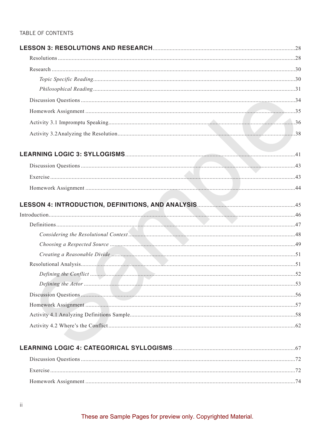| Homework Assignment 2000 and 2000 and 2000 and 2000 and 2000 and 2000 and 2000 and 2000 and 2000 and 2000 and 2000 and 2000 and 2000 and 2000 and 2000 and 2000 and 2000 and 2000 and 2000 and 2000 and 2000 and 2000 and 2000 |  |
|--------------------------------------------------------------------------------------------------------------------------------------------------------------------------------------------------------------------------------|--|
|                                                                                                                                                                                                                                |  |
|                                                                                                                                                                                                                                |  |
|                                                                                                                                                                                                                                |  |
|                                                                                                                                                                                                                                |  |
|                                                                                                                                                                                                                                |  |
|                                                                                                                                                                                                                                |  |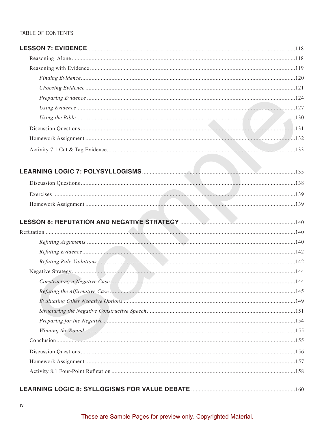| Refuting Rule Violations (Committee of the Committee of the Committee of the Committee of the Committee of the |  |
|----------------------------------------------------------------------------------------------------------------|--|
|                                                                                                                |  |
|                                                                                                                |  |
|                                                                                                                |  |
|                                                                                                                |  |
|                                                                                                                |  |
|                                                                                                                |  |
|                                                                                                                |  |
|                                                                                                                |  |
|                                                                                                                |  |
|                                                                                                                |  |
|                                                                                                                |  |
|                                                                                                                |  |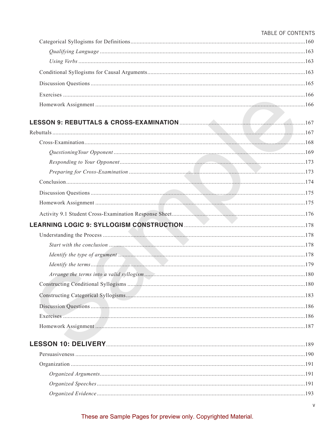# These are Sample Pages for preview only. Copyrighted Material.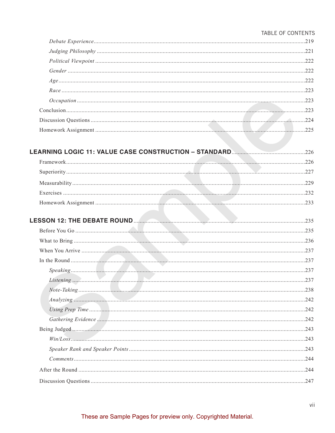| 223 |
|-----|
| 224 |
| 225 |

| LEARNING LOGIC 11: VALUE CASE CONSTRUCTION - STANDARD <b>Example 226</b> 226 |  |
|------------------------------------------------------------------------------|--|
| $Frame work \dots 226$                                                       |  |
|                                                                              |  |
|                                                                              |  |
|                                                                              |  |
|                                                                              |  |
| LESSON 12: THE DEBATE ROUND MARKED AND RELEASED AND RELEASED AT 235          |  |
|                                                                              |  |
|                                                                              |  |
|                                                                              |  |
|                                                                              |  |
|                                                                              |  |
|                                                                              |  |
|                                                                              |  |
|                                                                              |  |
|                                                                              |  |
|                                                                              |  |
|                                                                              |  |
|                                                                              |  |
|                                                                              |  |
|                                                                              |  |
|                                                                              |  |
|                                                                              |  |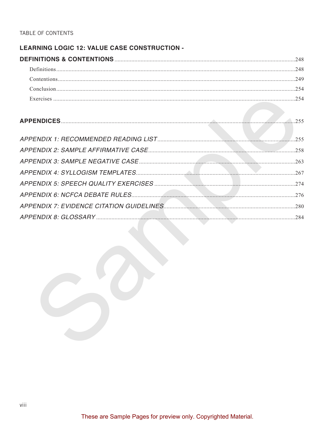| <b>LEARNING LOGIC 12: VALUE CASE CONSTRUCTION -</b> |      |
|-----------------------------------------------------|------|
|                                                     | .248 |
|                                                     |      |
|                                                     |      |
|                                                     |      |
|                                                     |      |
|                                                     | 255  |
|                                                     | 255  |
|                                                     | .258 |
|                                                     | .263 |
|                                                     | .267 |
|                                                     |      |
|                                                     |      |
|                                                     |      |
|                                                     | .284 |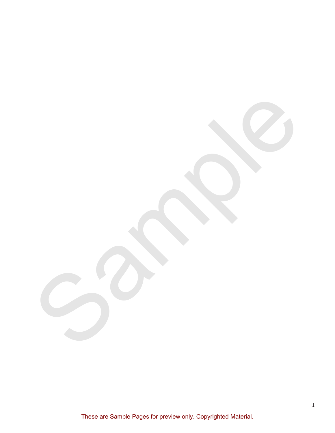These are Sample Pages for preview only. Copyrighted Material.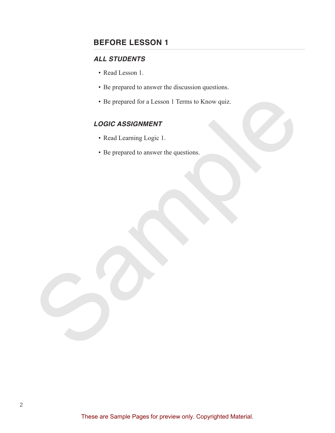# **BEFORE LESSON 1**

# *ALL STUDENTS*

- Read Lesson 1.
- Be prepared to answer the discussion questions.
- Be prepared for a Lesson 1 Terms to Know quiz.

# *LOGIC ASSIGNMENT*

- Read Learning Logic 1.
- Be prepared to answer the questions.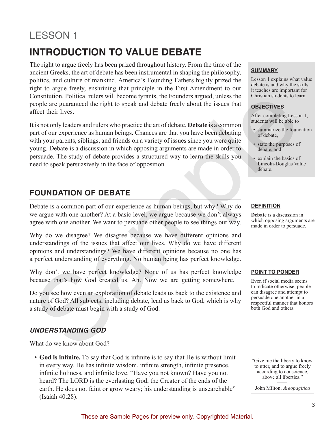# LESSON 1

# **INTRODUCTION TO VALUE DEBATE**

The right to argue freely has been prized throughout history. From the time of the ancient Greeks, the art of debate has been instrumental in shaping the philosophy, politics, and culture of mankind. America's Founding Fathers highly prized the right to argue freely, enshrining that principle in the First Amendment to our Constitution. Political rulers will become tyrants, the Founders argued, unless the people are guaranteed the right to speak and debate freely about the issues that affect their lives.

It is not only leaders and rulers who practice the art of debate. **Debate** is a common part of our experience as human beings. Chances are that you have been debating with your parents, siblings, and friends on a variety of issues since you were quite young. Debate is a discussion in which opposing arguments are made in order to persuade. The study of debate provides a structured way to learn the skills you need to speak persuasively in the face of opposition. Construction Political relation the constrained in the search of the search of the search of the search of the search of the search of the search of the search of the search of the search of the search of the search of th

# **FOUNDATION OF DEBATE**

Debate is a common part of our experience as human beings, but why? Why do we argue with one another? At a basic level, we argue because we don't always agree with one another. We want to persuade other people to see things our way.

Why do we disagree? We disagree because we have different opinions and understandings of the issues that affect our lives. Why do we have different opinions and understandings? We have different opinions because no one has a perfect understanding of everything. No human being has perfect knowledge.

Why don't we have perfect knowledge? None of us has perfect knowledge because that's how God created us. Ah. Now we are getting somewhere.

Do you see how even an exploration of debate leads us back to the existence and nature of God? All subjects, including debate, lead us back to God, which is why a study of debate must begin with a study of God.

# *UNDERSTANDING GOD*

What do we know about God?

**• God is infinite.** To say that God is infinite is to say that He is without limit in every way. He has infinite wisdom, infinite strength, infinite presence, infinite holiness, and infinite love. "Have you not known? Have you not heard? The LORD is the everlasting God, the Creator of the ends of the earth. He does not faint or grow weary; his understanding is unsearchable" (Isaiah 40:28).

### **SUMMARY**

Lesson 1 explains what value debate is and why the skills it teaches are important for Christian students to learn.

### **OBJECTIVES**

After completing Lesson 1, students will be able to

- summarize the foundation of debate,
- state the purposes of debate, and
- explain the basics of Lincoln-Douglas Value debate.

### **DEFINITION**

**Debate** is a discussion in which opposing arguments are made in order to persuade.

### **POINT TO PONDER**

Even if social media seems to indicate otherwise, people can disagree and attempt to persuade one another in a respectful manner that honors both God and others.

"Give me the liberty to know, to utter, and to argue freely according to conscience, above all liberties."

John Milton, *Areopagitica*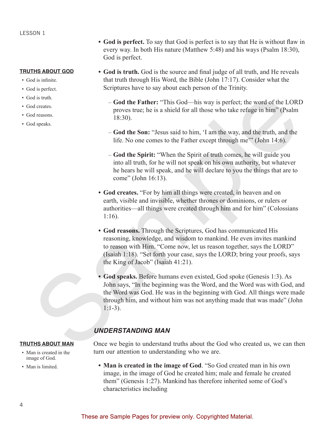### **TRUTHS ABOUT GOD**

- God is infinite.
- God is perfect.
- God is truth.
- God creates.
- God reasons.
- God speaks.
- **• God is perfect.** To say that God is perfect is to say that He is without flaw in every way. In both His nature (Matthew 5:48) and his ways (Psalm 18:30), God is perfect.
- **• God is truth.** God is the source and final judge of all truth, and He reveals that truth through His Word, the Bible (John 17:17). Consider what the Scriptures have to say about each person of the Trinity.
	- **God the Father:** "This God—his way is perfect; the word of the LORD proves true; he is a shield for all those who take refuge in him" (Psalm 18:30).
	- **God the Son:** "Jesus said to him, 'I am the way, and the truth, and the life. No one comes to the Father except through me'" (John 14:6).
	- **God the Spirit:** "When the Spirit of truth comes, he will guide you into all truth, for he will not speak on his own authority, but whatever he hears he will speak, and he will declare to you the things that are to come" (John 16:13).
- **• God creates.** "For by him all things were created, in heaven and on earth, visible and invisible, whether thrones or dominions, or rulers or authorities—all things were created through him and for him" (Colossians 1:16).
- **• God reasons.** Through the Scriptures, God has communicated His reasoning, knowledge, and wisdom to mankind. He even invites mankind to reason with Him. "Come now, let us reason together, says the LORD" (Isaiah 1:18). "Set forth your case, says the LORD; bring your proofs, says the King of Jacob" (Isaiah 41:21).
- **• God speaks.** Before humans even existed, God spoke (Genesis 1:3). As John says, "In the beginning was the Word, and the Word was with God, and the Word was God. He was in the beginning with God. All things were made through him, and without him was not anything made that was made" (John 1:1-3). **For the Father:** "This God—his way is perfect, the world of the LORE provis true; he is a shield for all those who take reduge in thin" (Psalm of a states).<br> **EXAMPLE SAMPLE PAGES FOR A SAMPLE PAGES** on the spirit of tra

### *UNDERSTANDING MAN*

Once we begin to understand truths about the God who created us, we can then turn our attention to understanding who we are.

**• Man is created in the image of God**. "So God created man in his own image, in the image of God he created him; male and female he created them" (Genesis 1:27). Mankind has therefore inherited some of God's characteristics including

### **TRUTHS ABOUT MAN**

- Man is created in the image of God.
- Man is limited.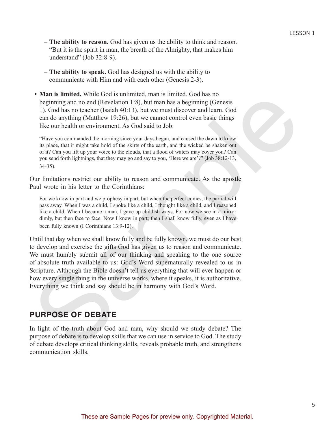- **The ability to reason.** God has given us the ability to think and reason. "But it is the spirit in man, the breath of the Almighty, that makes him understand" (Job 32:8-9).
- **The ability to speak.** God has designed us with the ability to communicate with Him and with each other (Genesis 2-3).
- **• Man is limited.** While God is unlimited, man is limited. God has no beginning and no end (Revelation 1:8), but man has a beginning (Genesis 1). God has no teacher (Isaiah 40:13), but we must discover and learn. God can do anything (Matthew 19:26), but we cannot control even basic things like our health or environment. As God said to Job:

"Have you commanded the morning since your days began, and caused the dawn to know its place, that it might take hold of the skirts of the earth, and the wicked be shaken out of it? Can you lift up your voice to the clouds, that a flood of waters may cover you? Can you send forth lightnings, that they may go and say to you, 'Here we are'?" (Job 38:12-13, 34-35).

Our limitations restrict our ability to reason and communicate. As the apostle Paul wrote in his letter to the Corinthians:

For we know in part and we prophesy in part, but when the perfect comes, the partial will pass away. When I was a child, I spoke like a child, I thought like a child, and I reasoned like a child. When I became a man, I gave up childish ways. For now we see in a mirror dimly, but then face to face. Now I know in part; then I shall know fully, even as I have been fully known (I Corinthians 13:9-12).

Until that day when we shall know fully and be fully known, we must do our best to develop and exercise the gifts God has given us to reason and communicate. We must humbly submit all of our thinking and speaking to the one source of absolute truth available to us: God's Word supernaturally revealed to us in Scripture. Although the Bible doesn't tell us everything that will ever happen or how every single thing in the universe works, where it speaks, it is authoritative. Everything we think and say should be in harmony with God's Word. • Man Is instraited. While Good is unitmuted, mean is limited. Good is no<br>independent of the page of the state of preview of the state of preview of the state of preview of the state of preview only. Good can do anything

# **PURPOSE OF DEBATE**

In light of the truth about God and man, why should we study debate? The purpose of debate is to develop skills that we can use in service to God. The study of debate develops critical thinking skills, reveals probable truth, and strengthens communication skills.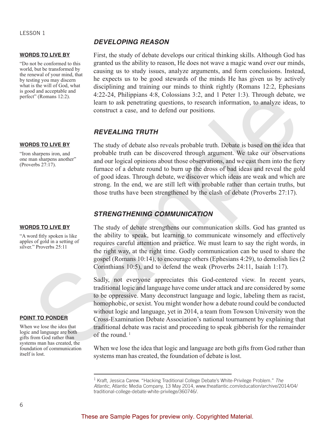### **WORDS TO LIVE BY**

"Do not be conformed to this world, but be transformed by the renewal of your mind, that by testing you may discern what is the will of God, what is good and acceptable and perfect" (Romans 12:2).

### **WORDS TO LIVE BY**

"Iron sharpens iron, and one man sharpens another" (Proverbs 27:17).

### **WORDS TO LIVE BY**

"A word fitly spoken is like apples of gold in a setting of silver." Proverbs 25:11



### **POINT TO PONDER**

When we lose the idea that logic and language are both gifts from God rather than systems man has created, the foundation of communication itself is lost.

### *DEVELOPING REASON*

First, the study of debate develops our critical thinking skills. Although God has granted us the ability to reason, He does not wave a magic wand over our minds, causing us to study issues, analyze arguments, and form conclusions. Instead, he expects us to be good stewards of the minds He has given us by actively disciplining and training our minds to think rightly (Romans 12:2, Ephesians 4:22-24, Philippians 4:8, Colossians 3:2, and 1 Peter 1:3). Through debate, we learn to ask penetrating questions, to research information, to analyze ideas, to construct a case, and to defend our positions.

# *REVEALING TRUTH*

The study of debate also reveals probable truth. Debate is based on the idea that probable truth can be discovered through argument. We take our observations and our logical opinions about those observations, and we cast them into the fiery furnace of a debate round to burn up the dross of bad ideas and reveal the gold of good ideas. Through debate, we discover which ideas are weak and which are strong. In the end, we are still left with probable rather than certain truths, but those truths have been strengthened by the clash of debate (Proverbs 27:17).

# *STRENGTHENING COMMUNICATION*

The study of debate strengthens our communication skills. God has granted us the ability to speak, but learning to communicate winsomely and effectively requires careful attention and practice. We must learn to say the right words, in the right way, at the right time. Godly communication can be used to share the gospel (Romans 10:14), to encourage others (Ephesians 4:29), to demolish lies (2 Corinthians 10:5), and to defend the weak (Proverbs 24:11, Isaiah 1:17).

Sadly, not everyone appreciates this God-centered view. In recent years, traditional logic and language have come under attack and are considered by some to be oppressive. Many deconstruct language and logic, labeling them as racist, homophobic, or sexist. You might wonder how a debate round could be conducted without logic and language, yet in 2014, a team from Towson University won the Cross-Examination Debate Association's national tournament by explaining that traditional debate was racist and proceeding to speak gibberish for the remainder of the round.<sup>1</sup> ("Resonation 252).<br>
(422-24), this physical states, Columestan 312, and 1 Peter 113). Through declines<br>
construct a case, and to defend our provisions. Its constraint information, to analyze victos,<br>
construct a case, and

When we lose the idea that logic and language are both gifts from God rather than systems man has created, the foundation of debate is lost.

<sup>1</sup> Kraft, Jessica Carew. "Hacking Traditional College Debate's White-Privilege Problem." *The Atlantic*, Atlantic Media Company, 13 May 2014, www.theatlantic.com/education/archive/2014/04/ traditional-college-debate-white-privilege/360746/.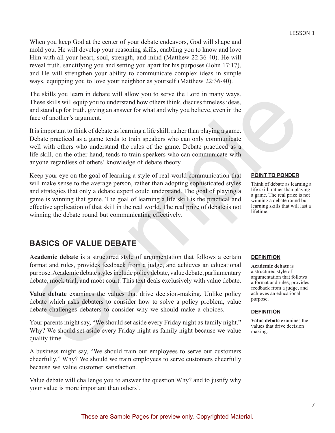When you keep God at the center of your debate endeavors, God will shape and mold you. He will develop your reasoning skills, enabling you to know and love Him with all your heart, soul, strength, and mind (Matthew 22:36-40). He will reveal truth, sanctifying you and setting you apart for his purposes (John 17:17), and He will strengthen your ability to communicate complex ideas in simple ways, equipping you to love your neighbor as yourself (Matthew 22:36-40).

The skills you learn in debate will allow you to serve the Lord in many ways. These skills will equip you to understand how others think, discuss timeless ideas, and stand up for truth, giving an answer for what and why you believe, even in the face of another's argument.

It is important to think of debate as learning a life skill, rather than playing a game. Debate practiced as a game tends to train speakers who can only communicate well with others who understand the rules of the game. Debate practiced as a life skill, on the other hand, tends to train speakers who can communicate with anyone regardless of others' knowledge of debate theory.

Keep your eye on the goal of learning a style of real-world communication that will make sense to the average person, rather than adopting sophisticated styles and strategies that only a debate expert could understand. The goal of playing a game is winning that game. The goal of learning a life skill is the practical and effective application of that skill in the real world. The real prize of debate is not winning the debate round but communicating effectively. In exits way cannot matched with allow you to serve the 1 ord now ways<br>These skills will equip you to understand how others think, discuss timeless ideas,<br>these skills will equip you to understand how others think, discus

# **BASICS OF VALUE DEBATE**

**Academic debate** is a structured style of argumentation that follows a certain format and rules, provides feedback from a judge, and achieves an educational purpose. Academic debate styles include policy debate, value debate, parliamentary debate, mock trial, and moot court. This text deals exclusively with value debate.

**Value debate** examines the values that drive decision-making. Unlike policy debate which asks debaters to consider how to solve a policy problem, value debate challenges debaters to consider why we should make a choices.

Your parents might say, "We should set aside every Friday night as family night." Why? We should set aside every Friday night as family night because we value quality time.

A business might say, "We should train our employees to serve our customers cheerfully." Why? We should we train employees to serve customers cheerfully because we value customer satisfaction.

Value debate will challenge you to answer the question Why? and to justify why your value is more important than others'.

### **POINT TO PONDER**

Think of debate as learning a life skill, rather than playing a game. The real prize is not winning a debate round but learning skills that will last a lifetime.

### **DEFINITION**

**Academic debate** is a structured style of argumentation that follows a format and rules, provides feedback from a judge, and achieves an educational purpose.

### **DEFINITION**

**Value debate** examines the values that drive decision making.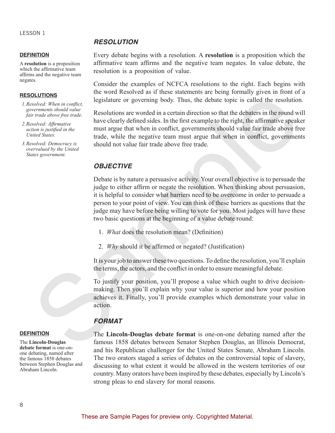### **DEFINITION**

A **resolution** is a proposition which the affirmative team affirms and the negative team negates.

### **RESOLUTIONS**

- *1.Resolved: When in conflict, governments should value fair trade above free trade.*
- *2.Resolved: Affirmative action is justified in the United States.*
- *3.Resolved: Democracy is overvalued by the United States government.*

# **DEFINITION**

The **Lincoln-Douglas debate format** is one-onone debating, named after the famous 1858 debates between Stephen Douglas and Abraham Lincoln.

### *RESOLUTION*

Every debate begins with a resolution. A **resolution** is a proposition which the affirmative team affirms and the negative team negates. In value debate, the resolution is a proposition of value.

Consider the examples of NCFCA resolutions to the right. Each begins with the word Resolved as if these statements are being formally given in front of a legislature or governing body. Thus, the debate topic is called the resolution.

Resolutions are worded in a certain direction so that the debaters in the round will have clearly defined sides. In the first example to the right, the affirmative speaker must argue that when in conflict, governments should value fair trade above free trade, while the negative team must argue that when in conflict, governments should not value fair trade above free trade.

# *OBJECTIVE*

Debate is by nature a persuasive activity. Your overall objective is to persuade the judge to either affirm or negate the resolution. When thinking about persuasion, it is helpful to consider what barriers need to be overcome in order to persuade a person to your point of view. You can think of these barriers as questions that the judge may have before being willing to vote for you. Most judges will have these two basic questions at the beginning of a value debate round:

- 1. *What* does the resolution mean? (Definition)
- 2. *Why* should it be affirmed or negated? (Justification)

It is your job to answer these two questions. To define the resolution, you'll explain the terms, the actors, and the conflict in order to ensure meaningful debate.

To justify your position, you'll propose a value which ought to drive decisionmaking. Then you'll explain why your value is superior and how your position achieves it. Finally, you'll provide examples which demonstrate your value in action.

# *FORMAT*

The **Lincoln-Douglas debate format** is one-on-one debating named after the famous 1858 debates between Senator Stephen Douglas, an Illinois Democrat, and his Republican challenger for the United States Senate, Abraham Lincoln. The two orators staged a series of debates on the controversial topic of slavery, discussing to what extent it would be allowed in the western territories of our country. Many orators have been inspired by these debates, especially by Lincoln's strong pleas to end slavery for moral reasons. **OLUCER**<br>
Note that the second that the second that the second that the second the second the second the second three second to the second the second three second three second to the second the second three second to the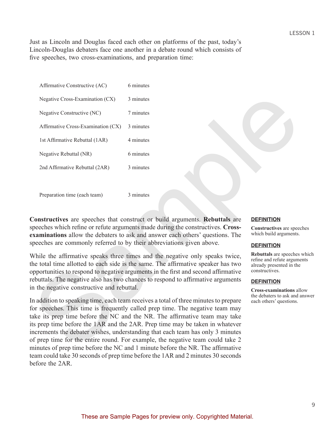Just as Lincoln and Douglas faced each other on platforms of the past, today's Lincoln-Douglas debaters face one another in a debate round which consists of five speeches, two cross-examinations, and preparation time:

| Affirmative Constructive (AC)      | 6 minutes |
|------------------------------------|-----------|
| Negative Cross-Examination (CX)    | 3 minutes |
| Negative Constructive (NC)         | 7 minutes |
| Affirmative Cross-Examination (CX) | 3 minutes |
| 1st Affirmative Rebuttal (1AR)     | 4 minutes |
| Negative Rebuttal (NR)             | 6 minutes |
| 2nd Affirmative Rebuttal (2AR)     | 3 minutes |
|                                    |           |

Preparation time (each team) 3 minutes

**Constructives** are speeches that construct or build arguments. **Rebuttals** are speeches which refine or refute arguments made during the constructives. **Crossexaminations** allow the debaters to ask and answer each others' questions. The speeches are commonly referred to by their abbreviations given above.

While the affirmative speaks three times and the negative only speaks twice, the total time allotted to each side is the same. The affirmative speaker has two opportunities to respond to negative arguments in the first and second affirmative rebuttals. The negative also has two chances to respond to affirmative arguments in the negative constructive and rebuttal.

In addition to speaking time, each team receives a total of three minutes to prepare for speeches. This time is frequently called prep time. The negative team may take its prep time before the NC and the NR. The affirmative team may take its prep time before the 1AR and the 2AR. Prep time may be taken in whatever increments the debater wishes, understanding that each team has only 3 minutes of prep time for the entire round. For example, the negative team could take 2 minutes of prep time before the NC and 1 minute before the NR. The affirmative team could take 30 seconds of prep time before the 1AR and 2 minutes 30 seconds before the 2AR. Negative Constraintien (CX) 3 minutes<br>
Negative Constructive November (CX) 3 minutes<br>
1 a Affilmumitive Rebuttal (1AR) 4 minutes<br>
1 a Affilmumitive Rebuttal (1AR) 4 minutes<br>
Sample Pages for stellar (1AR) 5 minutes<br>
Sampl

### **DEFINITION**

**Constructives** are speeches which build arguments.

### **DEFINITION**

**Rebuttals** are speeches which refine and refute arguments already presented in the constructives.

### **DEFINITION**

**Cross-examinations** allow the debaters to ask and answer each others' questions.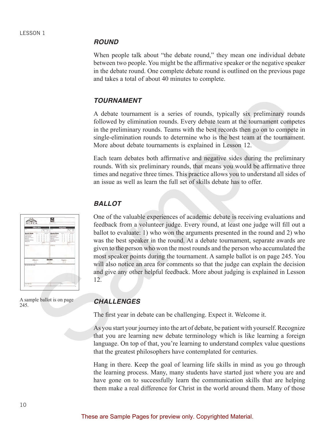# *ROUND*

When people talk about "the debate round," they mean one individual debate between two people. You might be the affirmative speaker or the negative speaker in the debate round. One complete debate round is outlined on the previous page and takes a total of about 40 minutes to complete.

# *TOURNAMENT*

A debate tournament is a series of rounds, typically six preliminary rounds followed by elimination rounds. Every debate team at the tournament competes in the preliminary rounds. Teams with the best records then go on to compete in single-elimination rounds to determine who is the best team at the tournament. More about debate tournaments is explained in Lesson 12.

Each team debates both affirmative and negative sides during the preliminary rounds. With six preliminary rounds, that means you would be affirmative three times and negative three times. This practice allows you to understand all sides of an issue as well as learn the full set of skills debate has to offer.

# *BALLOT*

One of the valuable experiences of academic debate is receiving evaluations and feedback from a volunteer judge. Every round, at least one judge will fill out a ballot to evaluate: 1) who won the arguments presented in the round and 2) who was the best speaker in the round. At a debate tournament, separate awards are given to the person who won the most rounds and the person who accumulated the most speaker points during the tournament. A sample ballot is on page 245. You will also notice an area for comments so that the judge can explain the decision and give any other helpful feedback. More about judging is explained in Lesson 12. **TOURNAMENT**<br>
A debate contament is a series of rounds, typically six preliminary round<br>
A debate contament is a series of rounds by the best cachan at the fournament connect<br>
in the preliminary rounds. Teams with the bes

# *CHALLENGES*

The first year in debate can be challenging. Expect it. Welcome it.

As you start your journey into the art of debate, be patient with yourself. Recognize that you are learning new debate terminology which is like learning a foreign language. On top of that, you're learning to understand complex value questions that the greatest philosophers have contemplated for centuries.

Hang in there. Keep the goal of learning life skills in mind as you go through the learning process. Many, many students have started just where you are and have gone on to successfully learn the communication skills that are helping them make a real difference for Christ in the world around them. Many of those



A sample ballot is on page 245.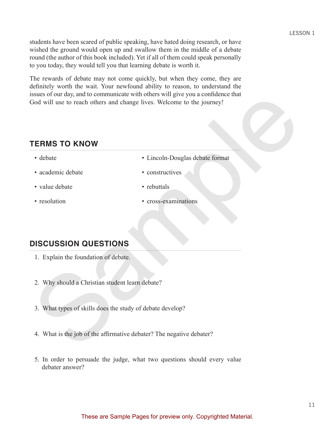students have been scared of public speaking, have hated doing research, or have wished the ground would open up and swallow them in the middle of a debate round (the author of this book included). Yet if all of them could speak personally to you today, they would tell you that learning debate is worth it.

The rewards of debate may not come quickly, but when they come, they are definitely worth the wait. Your newfound ability to reason, to understand the issues of our day, and to communicate with others will give you a confidence that God will use to reach others and change lives. Welcome to the journey!

# **TERMS TO KNOW**

- debate
- academic debate
- value debate
- resolution
- Lincoln-Douglas debate format
- constructives
- rebuttals
- cross-examinations

# **DISCUSSION QUESTIONS**

- 1. Explain the foundation of debate.
- 2. Why should a Christian student learn debate?
- 3. What types of skills does the study of debate develop?
- 4. What is the job of the affirmative debater? The negative debater?
- 5. In order to persuade the judge, what two questions should every value debater answer? Siesco for day, and to communicate with others and change lives. We loome to the journey!<br>
TERMS TO KNOW<br>
These to lead of the preview of the preview of the primary<br>
TERMS TO KNOW<br>
These constructives<br>
These constructives<br>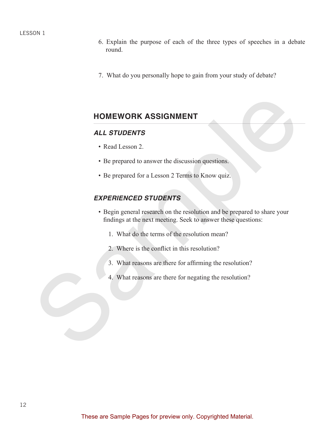- 6. Explain the purpose of each of the three types of speeches in a debate round.
- 7. What do you personally hope to gain from your study of debate?

# **HOMEWORK ASSIGNMENT**

# *ALL STUDENTS*

- Read Lesson 2.
- Be prepared to answer the discussion questions.
- Be prepared for a Lesson 2 Terms to Know quiz.

# *EXPERIENCED STUDENTS*

- Begin general research on the resolution and be prepared to share your findings at the next meeting. Seek to answer these questions: HOMEWORK ASSIGNMENT<br>
4LL STUDENTS<br>
• Read Lesson 2.<br>
• Re prepared to answer the discussions guestions.<br>
• Re prepared for a Lesson 2 Terms to Know quiz.<br>
EXPERIENCED STUDENTS<br>
• Regin general research on the resolution an
	- 1. What do the terms of the resolution mean?
	- 2. Where is the conflict in this resolution?
	- 3. What reasons are there for affirming the resolution?
	- 4. What reasons are there for negating the resolution?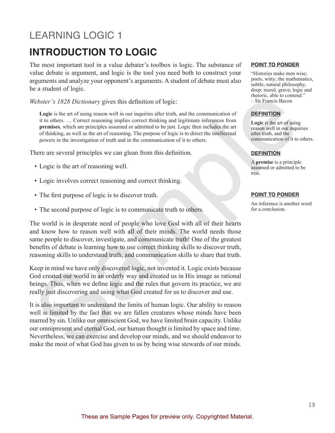# LEARNING LOGIC 1 **INTRODUCTION TO LOGIC**

The most important tool in a value debater's toolbox is logic. The substance of value debate is argument, and logic is the tool you need both to construct your arguments and analyze your opponent's arguments. A student of debate must also be a student of logic.

*Webster's 1828 Dictionary* gives this definition of logic:

**Logic** is the art of using reason well in our inquiries after truth, and the communication of it to others. … Correct reasoning implies correct thinking and legitimate inferences from **premises**, which are principles assumed or admitted to be just. Logic then includes the art of thinking, as well as the art of reasoning. The purpose of logic is to direct the intellectual powers in the investigation of truth and in the communication of it to others.

There are several principles we can glean from this definition.

- Logic is the art of reasoning well.
- Logic involves correct reasoning and correct thinking.
- The first purpose of logic is to discover truth.
- The second purpose of logic is to communicate truth to others.

The world is in desperate need of people who love God with all of their hearts and know how to reason well with all of their minds. The world needs those same people to discover, investigate, and communicate truth! One of the greatest benefits of debate is learning how to use correct thinking skills to discover truth, reasoning skills to understand truth, and communication skills to share that truth.

Keep in mind we have only discovered logic, not invented it. Logic exists because God created our world in an orderly way and created us in His image as rational beings. Thus, when we define logic and the rules that govern its practice, we are really just discovering and using what God created for us to discover and use.

It is also important to understand the limits of human logic. Our ability to reason well is limited by the fact that we are fallen creatures whose minds have been marred by sin. Unlike our omniscient God, we have limited brain capacity. Unlike our omnipresent and eternal God, our human thought is limited by space and time. Nevertheless, we can exercise and develop our minds, and we should endeavor to make the most of what God has given to us by being wise stewards of our minds. We between *x* 1628 *Dictionary* gives this definition of logic:<br> **Legic is the art of computers for preview only the computers for preview only. The preview of preview only. The preview only and control to be in the compu** 

### **POINT TO PONDER**

"Histories make men wise; poets, witty; the mathematics, subtle; natural philosophy, deep; moral, grave; logic and rhetoric, able to contend." – Sir Francis Bacon

### **DEFINITION**

**Logic** is the art of using reason well in our inquiries after truth, and the communication of it to others.

### **DEFINITION**

A **premise** is a principle assumed or admitted to be true.

### **POINT TO PONDER**

An inference is another word for a conclusion.